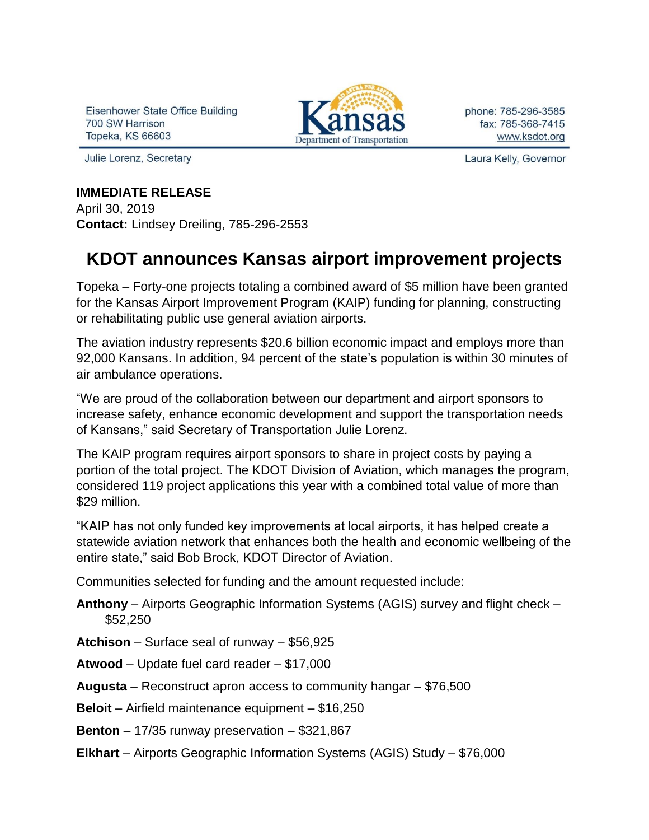Eisenhower State Office Building 700 SW Harrison **Topeka, KS 66603** 

Julie Lorenz, Secretary



phone: 785-296-3585 fax: 785-368-7415 www.ksdot.org

Laura Kelly, Governor

## **IMMEDIATE RELEASE**

April 30, 2019 **Contact:** Lindsey Dreiling, 785-296-2553

## **KDOT announces Kansas airport improvement projects**

Topeka – Forty-one projects totaling a combined award of \$5 million have been granted for the Kansas Airport Improvement Program (KAIP) funding for planning, constructing or rehabilitating public use general aviation airports.

The aviation industry represents \$20.6 billion economic impact and employs more than 92,000 Kansans. In addition, 94 percent of the state's population is within 30 minutes of air ambulance operations.

"We are proud of the collaboration between our department and airport sponsors to increase safety, enhance economic development and support the transportation needs of Kansans," said Secretary of Transportation Julie Lorenz.

The KAIP program requires airport sponsors to share in project costs by paying a portion of the total project. The KDOT Division of Aviation, which manages the program, considered 119 project applications this year with a combined total value of more than \$29 million.

"KAIP has not only funded key improvements at local airports, it has helped create a statewide aviation network that enhances both the health and economic wellbeing of the entire state," said Bob Brock, KDOT Director of Aviation.

Communities selected for funding and the amount requested include:

**Anthony** – Airports Geographic Information Systems (AGIS) survey and flight check – \$52,250

**Atchison** – Surface seal of runway – \$56,925

**Atwood** – Update fuel card reader – \$17,000

**Augusta** – Reconstruct apron access to community hangar – \$76,500

**Beloit** – Airfield maintenance equipment – \$16,250

**Benton** – 17/35 runway preservation – \$321,867

**Elkhart** – Airports Geographic Information Systems (AGIS) Study – \$76,000